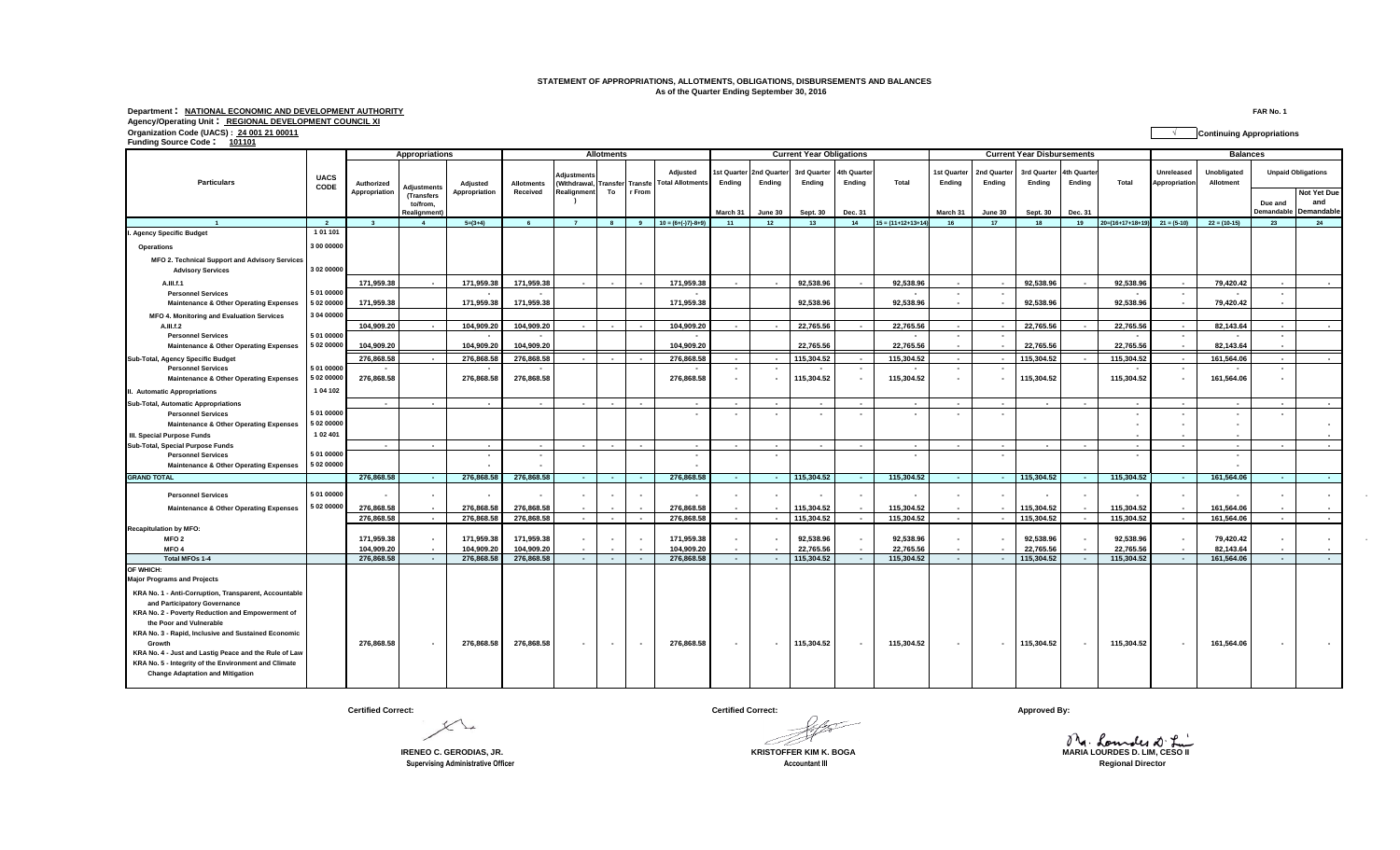## **STATEMENT OF APPROPRIATIONS, ALLOTMENTS, OBLIGATIONS, DISBURSEMENTS AND BALANCES As of the Quarter Ending September 30, 2016**

Department: <u>NATIONAL ECONOMIC AND DEVELOPMENT AUTHORITY</u><br>Agency/Operating Unit: <u>REGIONAL DEVELOPMENT COUNCIL XI</u><br>Organization Code (UACS) : <u>24 001 21 00011</u><br>Funding Source Code: <u>101101</u><br>Funding Source Code: 1<u>01101</u>

| <b>Particulars</b>                                                                              | <b>UACS</b><br>CODE | Appropriations              |                                         |                           | <b>Allotments</b>                      |                                   |                         |        |                                                                  | <b>Current Year Obligations</b> |                       |                         |                      |                         | <b>Current Year Disbursements</b> |                          |                         |                       |                         | <b>Balances</b>             |                          |                                          |                          |
|-------------------------------------------------------------------------------------------------|---------------------|-----------------------------|-----------------------------------------|---------------------------|----------------------------------------|-----------------------------------|-------------------------|--------|------------------------------------------------------------------|---------------------------------|-----------------------|-------------------------|----------------------|-------------------------|-----------------------------------|--------------------------|-------------------------|-----------------------|-------------------------|-----------------------------|--------------------------|------------------------------------------|--------------------------|
|                                                                                                 |                     | Authorized<br>Appropriation | <b>Adjustments</b><br><b>(Transfers</b> | Adjusted<br>Appropriation | <b>Allotments</b><br>Received          | <b>Adjustments</b><br>Realignment | To                      | r From | <b>Adiusted</b><br>(Withdrawal, Transfer Transfe Total Allotment | st Quarter<br>Ending            | 2nd Quarter<br>Endina | 3rd Quarter<br>Ending   | 4th Quarte<br>Ending | Total                   | 1st Quarter<br>Ending             | 2nd Quarter<br>Endina    | 3rd Quarter<br>Ending   | 4th Quarter<br>Ending | Total                   | Unreleased<br>Appropriation | Unobligated<br>Allotment | <b>Unpaid Obligations</b><br>Not Yet Due |                          |
|                                                                                                 |                     |                             | to/from.<br>Realignment                 |                           |                                        |                                   |                         |        |                                                                  | March 31                        | June 30               | <b>Sept. 30</b>         | Dec. 31              |                         | March 31                          | June 30                  | Sept. 30                | Dec. 31               |                         |                             |                          | Due and<br><b>Demandable</b>             | and<br><b>Demandable</b> |
| $\overline{1}$                                                                                  | $\overline{2}$      | $\overline{\mathbf{3}}$     | $\overline{4}$                          | $5=(3+4)$                 | 6                                      | $\overline{7}$                    | $\overline{\mathbf{8}}$ | -9     | $10 = (6+(-7)-8+9)$                                              | 11                              | 12                    | 13                      | 14                   | $15 = (11+12+13+14)$    | 16                                | 17                       | 18                      | 19                    | $20= (16+17+18+19$      | $21 = (5-10)$               | $22 = (10-15)$           | 23                                       | 24                       |
| I. Agency Specific Budget                                                                       | 1 01 101            |                             |                                         |                           |                                        |                                   |                         |        |                                                                  |                                 |                       |                         |                      |                         |                                   |                          |                         |                       |                         |                             |                          |                                          |                          |
| <b>Operations</b>                                                                               | 3 00 00000          |                             |                                         |                           |                                        |                                   |                         |        |                                                                  |                                 |                       |                         |                      |                         |                                   |                          |                         |                       |                         |                             |                          |                                          |                          |
| MFO 2. Technical Support and Advisory Services<br><b>Advisory Services</b>                      | 3 02 00000          |                             |                                         |                           |                                        |                                   |                         |        |                                                                  |                                 |                       |                         |                      |                         |                                   |                          |                         |                       |                         |                             |                          |                                          |                          |
| A.III.f.1                                                                                       |                     | 171,959.38                  |                                         | 171.959.38                | 171,959.38                             |                                   | $\sim$                  |        | 171.959.38                                                       |                                 |                       | 92.538.96               |                      | 92.538.96               |                                   |                          | 92.538.96               |                       | 92.538.96               |                             | 79,420.42                |                                          |                          |
| <b>Personnel Services</b>                                                                       | 5 01 00000          |                             |                                         |                           | $\overline{\phantom{a}}$               |                                   |                         |        |                                                                  |                                 |                       |                         |                      | $\sim$                  | $\sim$                            | $\sim$                   |                         |                       |                         | $\sim$                      |                          | $\overline{\phantom{a}}$                 |                          |
| <b>Maintenance &amp; Other Operating Expenses</b>                                               | 5 02 00000          | 171,959.38                  |                                         | 171,959.38                | 171,959.38                             |                                   |                         |        | 171.959.38                                                       |                                 |                       | 92.538.96               |                      | 92.538.96               |                                   |                          | 92.538.96               |                       | 92,538.96               |                             | 79,420.42                |                                          |                          |
| MFO 4. Monitoring and Evaluation Services                                                       | 3 04 0000           |                             |                                         |                           |                                        |                                   |                         |        |                                                                  |                                 |                       |                         |                      |                         |                                   |                          |                         |                       |                         |                             |                          |                                          |                          |
| A.III.f.2                                                                                       | 5 01 00000          | 104,909.20                  | $\overline{\phantom{a}}$                | 104,909.20                | 104,909.20                             |                                   | $\sim$                  | $\sim$ | 104,909.20                                                       |                                 |                       | 22,765.56               | $\sim$               | 22,765.56               | $\sim$<br>$\sim$                  |                          | 22,765.56               |                       | 22,765.56               |                             | 82,143.64                | $\overline{\phantom{a}}$                 |                          |
| <b>Personnel Services</b><br><b>Maintenance &amp; Other Operating Expenses</b>                  | 5 02 00000          | 104.909.20                  |                                         | 104.909.20                | $\overline{\phantom{a}}$<br>104,909.20 |                                   |                         |        | 104.909.20                                                       |                                 |                       | 22.765.56               |                      | 22.765.56               |                                   | $\sim$                   | 22.765.56               |                       | 22.765.56               | $\blacksquare$              | 82,143.64                | $\overline{\phantom{a}}$                 |                          |
| Sub-Total, Agency Specific Budget                                                               |                     | 276.868.58                  | $\sim$                                  | 276.868.58                | 276.868.58                             | $\sim$                            | $\sim 100$              |        | 276,868.58                                                       | $\sim$                          | $\sim$                | 115.304.52              | $\sim$ $-$           | 115.304.52              | $\sim$ $-$                        |                          | 115.304.52              |                       | 115.304.52              | $\sim$                      | 161.564.06               | $\sim$                                   |                          |
| <b>Personnel Services</b>                                                                       | 5 01 00000          |                             |                                         |                           |                                        |                                   |                         |        |                                                                  |                                 |                       |                         |                      |                         | $\blacksquare$                    |                          |                         |                       |                         |                             |                          |                                          |                          |
| <b>Maintenance &amp; Other Operating Expenses</b>                                               | 5 02 00000          | 276,868.58                  |                                         | 276,868.58                | 276,868.58                             |                                   |                         |        | 276,868.58                                                       |                                 |                       | 115,304.52              | $\sim$               | 115,304.52              | $\sim$                            |                          | 115,304.52              |                       | 115,304.52              |                             | 161,564.06               | $\overline{\phantom{a}}$                 |                          |
| II. Automatic Appropriations                                                                    | 1 04 102            |                             |                                         |                           |                                        |                                   |                         |        |                                                                  |                                 |                       |                         |                      |                         |                                   |                          |                         |                       |                         |                             |                          |                                          |                          |
| Sub-Total, Automatic Appropriations                                                             |                     |                             | $\sim$                                  | $\blacksquare$            | $\sim$                                 |                                   | $\sim$                  | $\sim$ | $\sim$                                                           |                                 | $\sim$                |                         | $\sim$               | $\sim$                  | $\sim$                            |                          | ٠.                      |                       |                         |                             |                          |                                          |                          |
| <b>Personnel Services</b>                                                                       | 5 01 00000          |                             |                                         |                           |                                        |                                   |                         |        | $\sim$                                                           |                                 | $\sim$                |                         | $\sim$               |                         | $\blacksquare$                    |                          |                         |                       |                         |                             |                          |                                          |                          |
| <b>Maintenance &amp; Other Operating Expenses</b>                                               | 5 02 00000          |                             |                                         |                           |                                        |                                   |                         |        |                                                                  |                                 |                       |                         |                      |                         |                                   |                          |                         |                       |                         |                             |                          |                                          | $\overline{\phantom{a}}$ |
| III. Special Purpose Funds                                                                      | 1 02 401            |                             |                                         |                           |                                        |                                   |                         |        |                                                                  |                                 |                       |                         |                      |                         |                                   |                          |                         |                       |                         |                             |                          |                                          |                          |
| Sub-Total, Special Purpose Funds                                                                |                     | $\sim$                      | $\sim$                                  | $\sim$                    | $\overline{\phantom{a}}$               | $\sim$                            | $\sim$                  | $\sim$ | $\sim$                                                           | $\sim$                          | $\sim$                | $\sim$                  | $\sim$               | $\sim$                  | $\sim$                            | $\overline{\phantom{a}}$ | $\sim$                  | $\sim$                | $\sim$                  | $\sim$                      | $\sim$                   | $\overline{\phantom{a}}$                 | $\overline{\phantom{a}}$ |
| <b>Personnel Services</b>                                                                       | 5 01 00000          |                             |                                         |                           | $\overline{\phantom{a}}$               |                                   |                         |        | $\blacksquare$                                                   |                                 | $\sim$                |                         |                      |                         |                                   |                          |                         |                       |                         |                             |                          |                                          |                          |
| <b>Maintenance &amp; Other Operating Expenses</b>                                               | 5 02 00000          |                             |                                         |                           |                                        |                                   |                         |        | ۰                                                                |                                 |                       |                         |                      |                         |                                   |                          |                         |                       |                         |                             |                          |                                          |                          |
| <b>GRAND TOTAL</b>                                                                              |                     | 276,868.58                  | $\sim 10^{-1}$                          | 276,868.58                | 276,868.58                             | $\sim$                            | <b>Contract</b>         | $\sim$ | 276,868.58                                                       | $\sim$                          | <b>Section</b>        | 115,304.52              | <b>Contract</b>      | 115,304.52              | <b>Contract</b>                   | $\sim$                   | 115,304.52              | <b>COL</b>            | 115,304.52              | <b>Contract</b>             | 161,564.06               | $\sim$                                   | $\sim$                   |
| <b>Personnel Services</b>                                                                       | 5 01 00000          |                             | $\overline{\phantom{a}}$                |                           |                                        |                                   | $\sim$                  |        |                                                                  |                                 |                       |                         |                      |                         |                                   |                          |                         |                       |                         |                             |                          |                                          | $\sim$                   |
| <b>Maintenance &amp; Other Operating Expenses</b>                                               | 5 02 00000          | 276,868.58                  | $\overline{\phantom{a}}$                | 276,868.58                | 276,868.58                             |                                   |                         |        | 276,868.58                                                       |                                 |                       | 115,304.52              |                      | 115,304.52              | $\sim$                            |                          | 115,304.52              |                       | 115,304.52              |                             | 161,564.06               |                                          |                          |
|                                                                                                 |                     | 276.868.58                  | $\sim$                                  | 276.868.58                | 276.868.58                             | $\sim$                            | $\sim$                  | $\sim$ | 276.868.58                                                       | $\sim$                          | $\sim$                | 115,304.52              | $\sim$               | 115.304.52              | $\sim$                            |                          | 115,304.52              | $\sim$                | 115.304.52              | $\sim$                      | 161.564.06               | $\sim$                                   | $\sim$                   |
| <b>Recapitulation by MFO:</b>                                                                   |                     |                             |                                         |                           |                                        |                                   |                         |        |                                                                  |                                 |                       |                         |                      |                         |                                   |                          |                         |                       |                         |                             |                          |                                          |                          |
| MFO <sub>2</sub>                                                                                |                     | 171.959.38                  | $\blacksquare$                          | 171.959.38                | 171.959.38                             |                                   | $\sim$                  |        | 171.959.38                                                       |                                 |                       | 92,538.96               |                      | 92.538.96               |                                   |                          | 92.538.96               |                       | 92.538.96               |                             | 79.420.42                |                                          | $\blacksquare$           |
| MFO <sub>4</sub><br><b>Total MFOs 1-4</b>                                                       |                     | 104,909.20<br>276.868.58    | $\sim$                                  | 104.909.20<br>276,868.58  | 104,909.20<br>276,868.58               | $\sim$                            | $\sim$<br>$\sim$        |        | 104.909.20<br>276.868.58                                         | $\sim$                          |                       | 22,765.56<br>115,304.52 |                      | 22.765.56<br>115.304.52 | $\sim$<br>$\sim$                  |                          | 22,765.56<br>115,304.52 |                       | 22.765.56<br>115.304.52 | $\sim$                      | 82,143.64<br>161,564.06  | $\sim$                                   | $\sim$<br>$\sim$         |
| OF WHICH:<br><b>Major Programs and Projects</b>                                                 |                     |                             |                                         |                           |                                        |                                   |                         |        |                                                                  |                                 |                       |                         |                      |                         |                                   |                          |                         |                       |                         |                             |                          |                                          |                          |
| KRA No. 1 - Anti-Corruption, Transparent, Accountable<br>and Participatory Governance           |                     |                             |                                         |                           |                                        |                                   |                         |        |                                                                  |                                 |                       |                         |                      |                         |                                   |                          |                         |                       |                         |                             |                          |                                          |                          |
| KRA No. 2 - Poverty Reduction and Empowerment of                                                |                     |                             |                                         |                           |                                        |                                   |                         |        |                                                                  |                                 |                       |                         |                      |                         |                                   |                          |                         |                       |                         |                             |                          |                                          |                          |
| the Poor and Vulnerable                                                                         |                     |                             |                                         |                           |                                        |                                   |                         |        |                                                                  |                                 |                       |                         |                      |                         |                                   |                          |                         |                       |                         |                             |                          |                                          |                          |
| KRA No. 3 - Rapid, Inclusive and Sustained Economic                                             |                     |                             |                                         |                           |                                        |                                   |                         |        |                                                                  |                                 |                       |                         |                      |                         |                                   |                          |                         |                       |                         |                             |                          |                                          |                          |
| Growth                                                                                          |                     | 276,868.58                  | $\sim$                                  | 276,868.58                | 276,868.58                             |                                   | $\sim$                  |        | 276,868.58                                                       |                                 |                       | 115,304.52              | $\sim$               | 115,304.52              | $\sim$                            | $\sim$                   | 115,304.52              |                       | 115,304.52              |                             | 161,564.06               |                                          | $\overline{\phantom{a}}$ |
| KRA No. 4 - Just and Lastig Peace and the Rule of Law                                           |                     |                             |                                         |                           |                                        |                                   |                         |        |                                                                  |                                 |                       |                         |                      |                         |                                   |                          |                         |                       |                         |                             |                          |                                          |                          |
| KRA No. 5 - Integrity of the Environment and Climate<br><b>Change Adaptation and Mitigation</b> |                     |                             |                                         |                           |                                        |                                   |                         |        |                                                                  |                                 |                       |                         |                      |                         |                                   |                          |                         |                       |                         |                             |                          |                                          |                          |

**Certified Correct: Certified Correct: Approved By:**

**Supervising Administrative Officer** 

╰

Mg. Loundes at Lui **IRENEO C. GERODIAS, JR. KRISTOFFER KIM K. BOGA MARIA LOURDES D. LIM, CESO II**